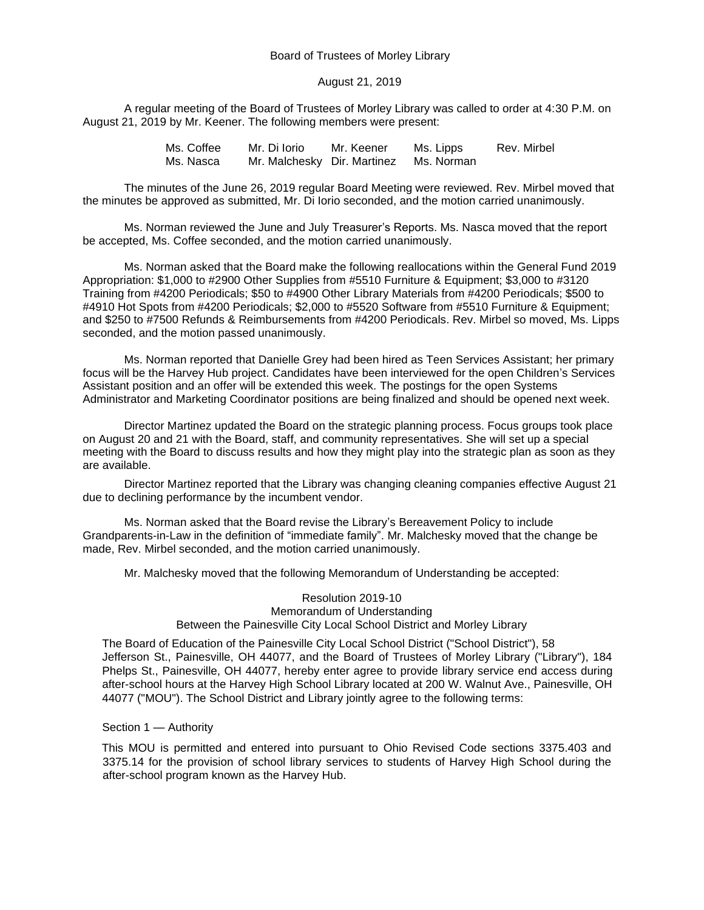## Board of Trustees of Morley Library

## August 21, 2019

A regular meeting of the Board of Trustees of Morley Library was called to order at 4:30 P.M. on August 21, 2019 by Mr. Keener. The following members were present:

> Ms. Coffee Mr. Di Iorio Mr. Keener Ms. Lipps Rev. Mirbel Ms. Nasca Mr. Malchesky Dir. Martinez Ms. Norman

The minutes of the June 26, 2019 regular Board Meeting were reviewed. Rev. Mirbel moved that the minutes be approved as submitted, Mr. Di Iorio seconded, and the motion carried unanimously.

Ms. Norman reviewed the June and July Treasurer's Reports. Ms. Nasca moved that the report be accepted, Ms. Coffee seconded, and the motion carried unanimously.

Ms. Norman asked that the Board make the following reallocations within the General Fund 2019 Appropriation: \$1,000 to #2900 Other Supplies from #5510 Furniture & Equipment; \$3,000 to #3120 Training from #4200 Periodicals; \$50 to #4900 Other Library Materials from #4200 Periodicals; \$500 to #4910 Hot Spots from #4200 Periodicals; \$2,000 to #5520 Software from #5510 Furniture & Equipment; and \$250 to #7500 Refunds & Reimbursements from #4200 Periodicals. Rev. Mirbel so moved, Ms. Lipps seconded, and the motion passed unanimously.

Ms. Norman reported that Danielle Grey had been hired as Teen Services Assistant; her primary focus will be the Harvey Hub project. Candidates have been interviewed for the open Children's Services Assistant position and an offer will be extended this week. The postings for the open Systems Administrator and Marketing Coordinator positions are being finalized and should be opened next week.

Director Martinez updated the Board on the strategic planning process. Focus groups took place on August 20 and 21 with the Board, staff, and community representatives. She will set up a special meeting with the Board to discuss results and how they might play into the strategic plan as soon as they are available.

Director Martinez reported that the Library was changing cleaning companies effective August 21 due to declining performance by the incumbent vendor.

Ms. Norman asked that the Board revise the Library's Bereavement Policy to include Grandparents-in-Law in the definition of "immediate family". Mr. Malchesky moved that the change be made, Rev. Mirbel seconded, and the motion carried unanimously.

Mr. Malchesky moved that the following Memorandum of Understanding be accepted:

## Resolution 2019-10 Memorandum of Understanding Between the Painesville City Local School District and Morley Library

The Board of Education of the Painesville City Local School District ("School District"), 58 Jefferson St., Painesville, OH 44077, and the Board of Trustees of Morley Library ("Library"), 184 Phelps St., Painesville, OH 44077, hereby enter agree to provide library service end access during after-school hours at the Harvey High School Library located at 200 W. Walnut Ave., Painesville, OH 44077 ("MOU"). The School District and Library jointly agree to the following terms:

## Section 1 — Authority

This MOU is permitted and entered into pursuant to Ohio Revised Code sections 3375.403 and 3375.14 for the provision of school library services to students of Harvey High School during the after-school program known as the Harvey Hub.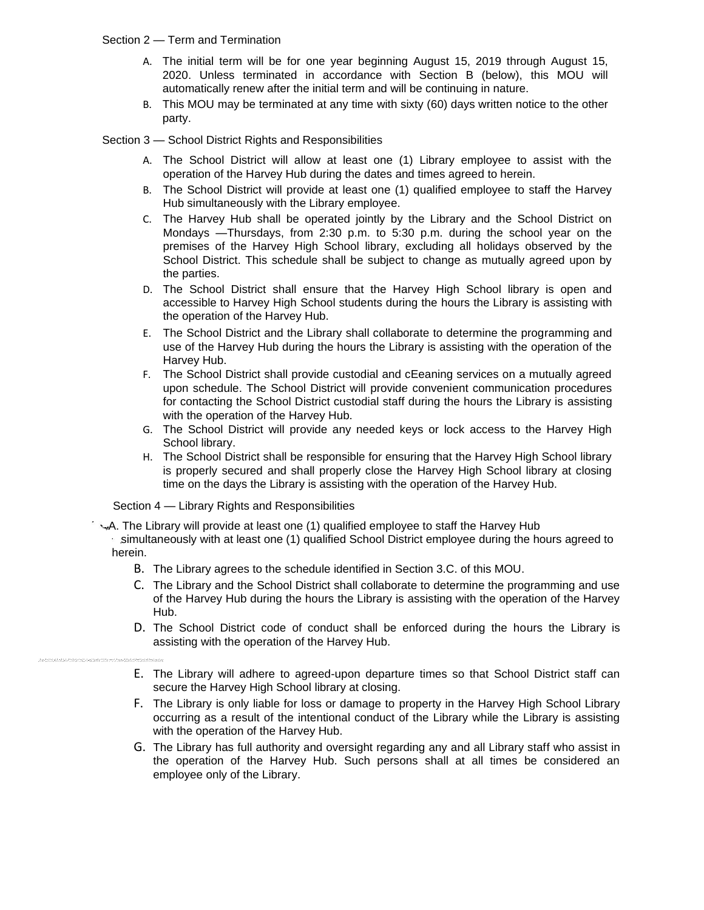- Section 2 Term and Termination
	- A. The initial term will be for one year beginning August 15, 2019 through August 15, 2020. Unless terminated in accordance with Section B (below), this MOU will automatically renew after the initial term and will be continuing in nature.
	- B. This MOU may be terminated at any time with sixty (60) days written notice to the other party.

Section 3 — School District Rights and Responsibilities

- A. The School District will allow at least one (1) Library employee to assist with the operation of the Harvey Hub during the dates and times agreed to herein.
- B. The School District will provide at least one (1) qualified employee to staff the Harvey Hub simultaneously with the Library employee.
- C. The Harvey Hub shall be operated jointly by the Library and the School District on Mondays —Thursdays, from 2:30 p.m. to 5:30 p.m. during the school year on the premises of the Harvey High School library, excluding all holidays observed by the School District. This schedule shall be subject to change as mutually agreed upon by the parties.
- D. The School District shall ensure that the Harvey High School library is open and accessible to Harvey High School students during the hours the Library is assisting with the operation of the Harvey Hub.
- E. The School District and the Library shall collaborate to determine the programming and use of the Harvey Hub during the hours the Library is assisting with the operation of the Harvey Hub.
- F. The School District shall provide custodial and cEeaning services on a mutually agreed upon schedule. The School District will provide convenient communication procedures for contacting the School District custodial staff during the hours the Library is assisting with the operation of the Harvey Hub.
- G. The School District will provide any needed keys or lock access to the Harvey High School library.
- H. The School District shall be responsible for ensuring that the Harvey High School library is properly secured and shall properly close the Harvey High School library at closing time on the days the Library is assisting with the operation of the Harvey Hub.

Section 4 — Library Rights and Responsibilities

- A. The Library will provide at least one (1) qualified employee to staff the Harvey Hub
	- simultaneously with at least one (1) qualified School District employee during the hours agreed to herein.
		- B. The Library agrees to the schedule identified in Section 3.C. of this MOU.
		- C. The Library and the School District shall collaborate to determine the programming and use of the Harvey Hub during the hours the Library is assisting with the operation of the Harvey Hub.
		- D. The School District code of conduct shall be enforced during the hours the Library is assisting with the operation of the Harvey Hub.
		- E. The Library will adhere to agreed-upon departure times so that School District staff can secure the Harvey High School library at closing.
		- F. The Library is only liable for loss or damage to property in the Harvey High School Library occurring as a result of the intentional conduct of the Library while the Library is assisting with the operation of the Harvey Hub.
		- G. The Library has full authority and oversight regarding any and all Library staff who assist in the operation of the Harvey Hub. Such persons shall at all times be considered an employee only of the Library.